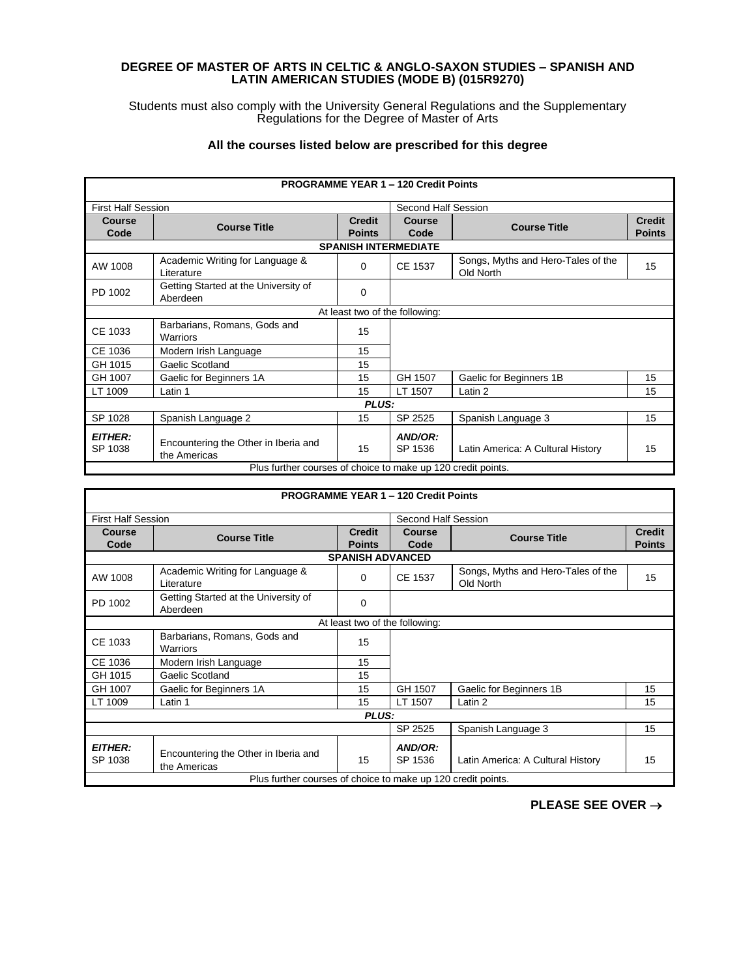## **DEGREE OF MASTER OF ARTS IN CELTIC & ANGLO-SAXON STUDIES – SPANISH AND LATIN AMERICAN STUDIES (MODE B) (015R9270)**

Students must also comply with the University General Regulations and the Supplementary Regulations for the Degree of Master of Arts

## **All the courses listed below are prescribed for this degree**

| <b>PROGRAMME YEAR 1 - 120 Credit Points</b>                  |                                                      |                                |                             |                                                 |                                |  |  |
|--------------------------------------------------------------|------------------------------------------------------|--------------------------------|-----------------------------|-------------------------------------------------|--------------------------------|--|--|
| <b>First Half Session</b>                                    |                                                      |                                | Second Half Session         |                                                 |                                |  |  |
| Course<br>Code                                               | <b>Course Title</b>                                  | <b>Credit</b><br><b>Points</b> | Course<br>Code              | <b>Course Title</b>                             | <b>Credit</b><br><b>Points</b> |  |  |
|                                                              |                                                      |                                | <b>SPANISH INTERMEDIATE</b> |                                                 |                                |  |  |
| AW 1008                                                      | Academic Writing for Language &<br>Literature        | $\Omega$                       | CE 1537                     | Songs, Myths and Hero-Tales of the<br>Old North | 15                             |  |  |
| PD 1002                                                      | Getting Started at the University of<br>Aberdeen     | $\mathbf 0$                    |                             |                                                 |                                |  |  |
|                                                              | At least two of the following:                       |                                |                             |                                                 |                                |  |  |
| CE 1033                                                      | Barbarians, Romans, Gods and<br>Warriors             | 15                             |                             |                                                 |                                |  |  |
| CE 1036                                                      | Modern Irish Language                                | 15                             |                             |                                                 |                                |  |  |
| GH 1015                                                      | Gaelic Scotland                                      | 15                             |                             |                                                 |                                |  |  |
| GH 1007                                                      | Gaelic for Beginners 1A                              | 15                             | GH 1507                     | Gaelic for Beginners 1B                         | 15                             |  |  |
| LT 1009                                                      | Latin 1                                              | 15                             | LT 1507                     | Latin 2                                         | 15                             |  |  |
| PLUS:                                                        |                                                      |                                |                             |                                                 |                                |  |  |
| SP 1028                                                      | Spanish Language 2                                   | 15                             | SP 2525                     | Spanish Language 3                              | 15                             |  |  |
| <i><b>EITHER:</b></i><br>SP 1038                             | Encountering the Other in Iberia and<br>the Americas | 15                             | AND/OR:<br>SP 1536          | Latin America: A Cultural History               | 15                             |  |  |
| Plus further courses of choice to make up 120 credit points. |                                                      |                                |                             |                                                 |                                |  |  |

| <b>PROGRAMME YEAR 1 - 120 Credit Points</b>                  |                                                      |                                |                       |                                                 |                                |  |
|--------------------------------------------------------------|------------------------------------------------------|--------------------------------|-----------------------|-------------------------------------------------|--------------------------------|--|
| <b>First Half Session</b>                                    |                                                      |                                | Second Half Session   |                                                 |                                |  |
| <b>Course</b><br>Code                                        | <b>Course Title</b>                                  | <b>Credit</b><br><b>Points</b> | <b>Course</b><br>Code | <b>Course Title</b>                             | <b>Credit</b><br><b>Points</b> |  |
|                                                              |                                                      | <b>SPANISH ADVANCED</b>        |                       |                                                 |                                |  |
| AW 1008                                                      | Academic Writing for Language &<br>Literature        | $\Omega$                       | CE 1537               | Songs, Myths and Hero-Tales of the<br>Old North | 15                             |  |
| PD 1002                                                      | Getting Started at the University of<br>Aberdeen     | $\Omega$                       |                       |                                                 |                                |  |
| At least two of the following:                               |                                                      |                                |                       |                                                 |                                |  |
| CE 1033                                                      | Barbarians, Romans, Gods and<br>Warriors             | 15                             |                       |                                                 |                                |  |
| CE 1036                                                      | Modern Irish Language                                | 15                             |                       |                                                 |                                |  |
| GH 1015                                                      | Gaelic Scotland                                      | 15                             |                       |                                                 |                                |  |
| GH 1007                                                      | Gaelic for Beginners 1A                              | 15                             | GH 1507               | Gaelic for Beginners 1B                         | 15                             |  |
| LT 1009                                                      | Latin 1                                              | 15                             | LT 1507               | Latin 2                                         | 15                             |  |
|                                                              |                                                      | PLUS:                          |                       |                                                 |                                |  |
|                                                              |                                                      |                                | SP 2525               | Spanish Language 3                              | 15                             |  |
| <b>EITHER:</b><br>SP 1038                                    | Encountering the Other in Iberia and<br>the Americas | 15                             | AND/OR:<br>SP 1536    | Latin America: A Cultural History               | 15                             |  |
| Plus further courses of choice to make up 120 credit points. |                                                      |                                |                       |                                                 |                                |  |

**PLEASE SEE OVER** →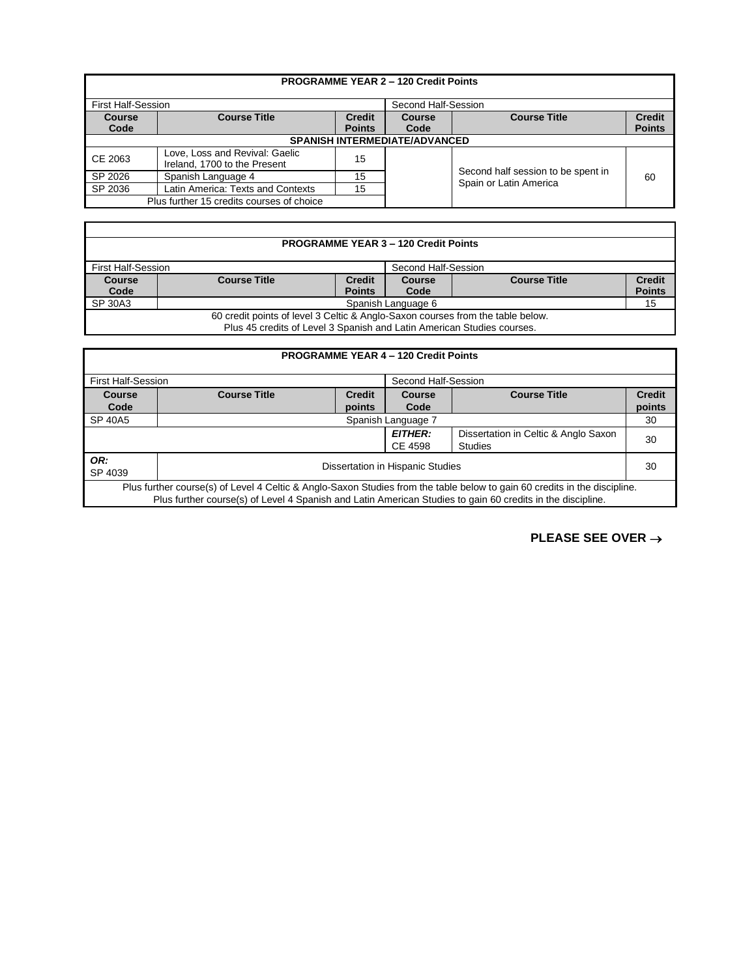| <b>PROGRAMME YEAR 2 - 120 Credit Points</b> |                                                                                                       |    |  |                                                              |                                |  |
|---------------------------------------------|-------------------------------------------------------------------------------------------------------|----|--|--------------------------------------------------------------|--------------------------------|--|
|                                             | <b>First Half-Session</b><br>Second Half-Session                                                      |    |  |                                                              |                                |  |
| <b>Course</b><br>Code                       | <b>Course Title</b><br><b>Course Title</b><br><b>Credit</b><br><b>Course</b><br><b>Points</b><br>Code |    |  |                                                              | <b>Credit</b><br><b>Points</b> |  |
| SPANISH INTERMEDIATE/ADVANCED               |                                                                                                       |    |  |                                                              |                                |  |
| CE 2063                                     | Love, Loss and Revival: Gaelic<br>Ireland, 1700 to the Present                                        | 15 |  |                                                              |                                |  |
| SP 2026                                     | Spanish Language 4                                                                                    | 15 |  | Second half session to be spent in<br>Spain or Latin America | 60                             |  |
| SP 2036                                     | Latin America: Texts and Contexts                                                                     | 15 |  |                                                              |                                |  |
| Plus further 15 credits courses of choice   |                                                                                                       |    |  |                                                              |                                |  |

| <b>PROGRAMME YEAR 3 - 120 Credit Points</b>                                                                                                              |                                           |                                |                |                     |                                |  |  |
|----------------------------------------------------------------------------------------------------------------------------------------------------------|-------------------------------------------|--------------------------------|----------------|---------------------|--------------------------------|--|--|
|                                                                                                                                                          | First Half-Session<br>Second Half-Session |                                |                |                     |                                |  |  |
| <b>Course</b><br>Code                                                                                                                                    | <b>Course Title</b>                       | <b>Credit</b><br><b>Points</b> | Course<br>Code | <b>Course Title</b> | <b>Credit</b><br><b>Points</b> |  |  |
| SP 30A3                                                                                                                                                  | Spanish Language 6<br>15                  |                                |                |                     |                                |  |  |
| 60 credit points of level 3 Celtic & Anglo-Saxon courses from the table below.<br>Plus 45 credits of Level 3 Spanish and Latin American Studies courses. |                                           |                                |                |                     |                                |  |  |

Г

| <b>PROGRAMME YEAR 4 - 120 Credit Points</b>                                                                                                                                                                                             |                                                                       |        |      |    |               |
|-----------------------------------------------------------------------------------------------------------------------------------------------------------------------------------------------------------------------------------------|-----------------------------------------------------------------------|--------|------|----|---------------|
|                                                                                                                                                                                                                                         | <b>First Half-Session</b><br>Second Half-Session                      |        |      |    |               |
| Course                                                                                                                                                                                                                                  | <b>Course Title</b><br><b>Course Title</b><br><b>Credit</b><br>Course |        |      |    | <b>Credit</b> |
| Code                                                                                                                                                                                                                                    |                                                                       | points | Code |    | points        |
| SP 40A5                                                                                                                                                                                                                                 | Spanish Language 7                                                    |        |      |    | 30            |
| <b>EITHER:</b><br>Dissertation in Celtic & Anglo Saxon<br>CE 4598<br><b>Studies</b>                                                                                                                                                     |                                                                       |        |      | 30 |               |
| OR:<br>SP 4039                                                                                                                                                                                                                          | Dissertation in Hispanic Studies                                      |        |      | 30 |               |
| Plus further course(s) of Level 4 Celtic & Anglo-Saxon Studies from the table below to gain 60 credits in the discipline.<br>Plus further course(s) of Level 4 Spanish and Latin American Studies to gain 60 credits in the discipline. |                                                                       |        |      |    |               |

**PLEASE SEE OVER** →

٦